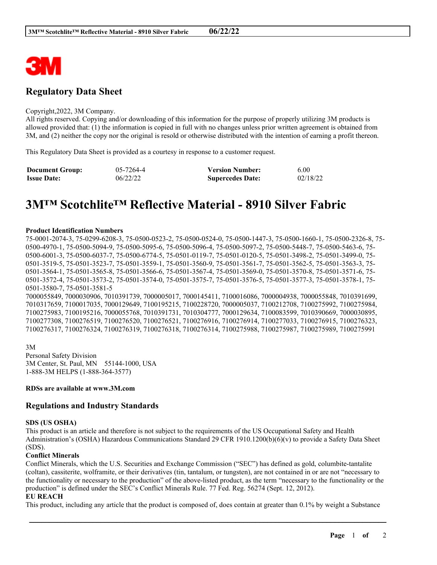

# **Regulatory Data Sheet**

#### Copyright,2022, 3M Company.

All rights reserved. Copying and/or downloading of this information for the purpose of properly utilizing 3M products is allowed provided that: (1) the information is copied in full with no changes unless prior written agreement is obtained from 3M, and (2) neither the copy nor the original is resold or otherwise distributed with the intention of earning a profit thereon.

This Regulatory Data Sheet is provided as a courtesy in response to a customer request.

| <b>Document Group:</b> | 05-7264-4 | <b>Version Number:</b>  | 6.00     |
|------------------------|-----------|-------------------------|----------|
| <b>Issue Date:</b>     | 06/22/22  | <b>Supercedes Date:</b> | 02/18/22 |

# **3M™ Scotchlite™ Reflective Material - 8910 Silver Fabric**

#### **Product Identification Numbers**

75-0001-2074-3, 75-0299-6208-3, 75-0500-0523-2, 75-0500-0524-0, 75-0500-1447-3, 75-0500-1660-1, 75-0500-2326-8, 75- 0500-4970-1, 75-0500-5094-9, 75-0500-5095-6, 75-0500-5096-4, 75-0500-5097-2, 75-0500-5448-7, 75-0500-5463-6, 75- 0500-6001-3, 75-0500-6037-7, 75-0500-6774-5, 75-0501-0119-7, 75-0501-0120-5, 75-0501-3498-2, 75-0501-3499-0, 75- 0501-3519-5, 75-0501-3523-7, 75-0501-3559-1, 75-0501-3560-9, 75-0501-3561-7, 75-0501-3562-5, 75-0501-3563-3, 75- 0501-3564-1, 75-0501-3565-8, 75-0501-3566-6, 75-0501-3567-4, 75-0501-3569-0, 75-0501-3570-8, 75-0501-3571-6, 75- 0501-3572-4, 75-0501-3573-2, 75-0501-3574-0, 75-0501-3575-7, 75-0501-3576-5, 75-0501-3577-3, 75-0501-3578-1, 75- 0501-3580-7, 75-0501-3581-5

7000055849, 7000030906, 7010391739, 7000005017, 7000145411, 7100016086, 7000004938, 7000055848, 7010391699, 7010317659, 7100017035, 7000129649, 7100195215, 7100228720, 7000005037, 7100212708, 7100275992, 7100275984, 7100275983, 7100195216, 7000055768, 7010391731, 7010304777, 7000129634, 7100083599, 7010390669, 7000030895, 7100277308, 7100276519, 7100276520, 7100276521, 7100276916, 7100276914, 7100277033, 7100276915, 7100276323, 7100276317, 7100276324, 7100276319, 7100276318, 7100276314, 7100275988, 7100275987, 7100275989, 7100275991

3M Personal Safety Division 3M Center, St. Paul, MN 55144-1000, USA 1-888-3M HELPS (1-888-364-3577)

#### **RDSs are available at www.3M.com**

## **Regulations and Industry Standards**

#### **SDS (US OSHA)**

This product is an article and therefore is not subject to the requirements of the US Occupational Safety and Health Administration's (OSHA) Hazardous Communications Standard 29 CFR 1910.1200(b)(6)(v) to provide a Safety Data Sheet (SDS).

#### **Conflict Minerals**

Conflict Minerals, which the U.S. Securities and Exchange Commission ("SEC") has defined as gold, columbite-tantalite (coltan), cassiterite, wolframite, or their derivatives (tin, tantalum, or tungsten), are not contained in or are not "necessary to the functionality or necessary to the production" of the above-listed product, as the term "necessary to the functionality or the production" is defined under the SEC's Conflict Minerals Rule. 77 Fed. Reg. 56274 (Sept. 12, 2012).

#### **EU REACH**

This product, including any article that the product is composed of, does contain at greater than 0.1% by weight a Substance

\_\_\_\_\_\_\_\_\_\_\_\_\_\_\_\_\_\_\_\_\_\_\_\_\_\_\_\_\_\_\_\_\_\_\_\_\_\_\_\_\_\_\_\_\_\_\_\_\_\_\_\_\_\_\_\_\_\_\_\_\_\_\_\_\_\_\_\_\_\_\_\_\_\_\_\_\_\_\_\_\_\_\_\_\_\_\_\_\_\_